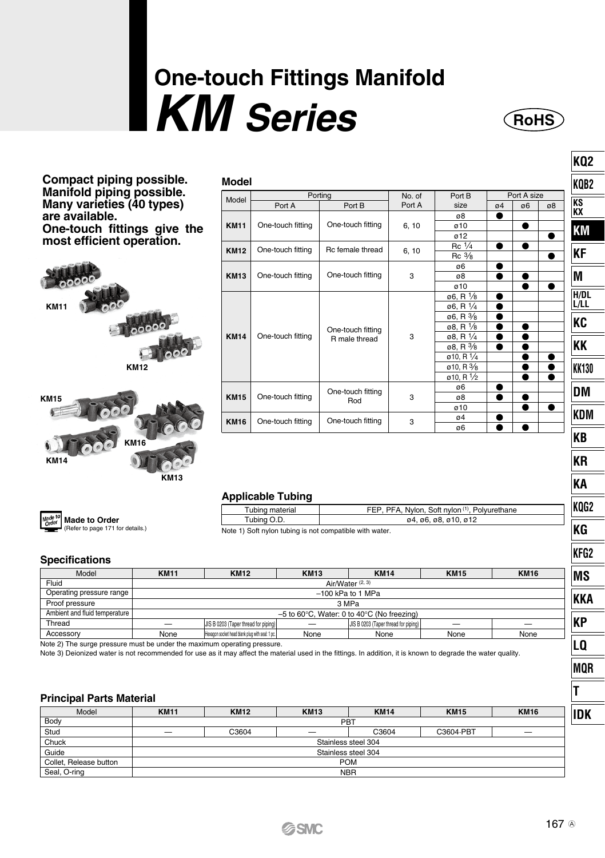# **One-touch Fittings Manifold** *KM Series*

| RoH | Ö |
|-----|---|
|     |   |

**Compact piping possible. Manifold piping possible. Many varieties (40 types) are available. One-touch fittings give the most efficient operation.**



| Model       |                   |                   |        |                       |           |             |    |
|-------------|-------------------|-------------------|--------|-----------------------|-----------|-------------|----|
| Model       |                   | Porting           | No. of | Port B                |           | Port A size |    |
|             | Port A            | Port B            | Port A | size                  | 04        | ø6          | ø8 |
|             |                   |                   |        | ø8                    | ●         |             |    |
| <b>KM11</b> | One-touch fitting | One-touch fitting | 6.10   | ø10                   |           | ●           |    |
|             |                   |                   |        | ø12                   |           |             |    |
| <b>KM12</b> | One-touch fitting | Rc female thread  | 6.10   | $Rc$ $1/4$            |           | ٠           |    |
|             |                   |                   |        | Rc <sub>3/s</sub>     |           |             | ●  |
|             |                   |                   |        | ø6                    |           |             |    |
| <b>KM13</b> | One-touch fitting | One-touch fitting | 3      | ø8                    | $\bullet$ |             |    |
|             |                   |                   |        | ø10                   |           | $\bullet$   |    |
|             |                   |                   |        | ø6, R 1/ <sub>8</sub> | ●         |             |    |
|             |                   |                   |        | ø6, R 1/4             | ●         |             |    |
|             |                   |                   |        | ø6, R %               | ●         |             |    |
|             |                   | One-touch fitting |        | ø8, R 1/8             | ٠         | ٠           |    |
| <b>KM14</b> | One-touch fitting | R male thread     | 3      | ø8, R 1/ <sub>4</sub> |           |             |    |
|             |                   |                   |        | ø8, R %               | $\bullet$ |             |    |
|             |                   |                   |        | ø10, R 1/4            |           |             |    |
|             |                   |                   |        | ø10, R 3/8            |           |             |    |
|             |                   |                   |        | ø10, R 1/2            |           | ●           | ▲  |
|             |                   | One-touch fitting |        | ø6                    |           |             |    |
| <b>KM15</b> | One-touch fitting | Rod               | 3      | ø8                    | ۸         | ●           |    |
|             |                   |                   |        | ø10                   |           | ۰           |    |
| <b>KM16</b> | One-touch fitting | One-touch fitting | 3      | 04                    | ٠         |             |    |
|             |                   |                   |        | ø6                    |           |             |    |

FEP, PFA, Nylon, Soft nylon (1), Polyurethane ø4, ø6, ø8, ø10, ø12

#### **Applicable Tubing** Tubing material

|  | Made to Order                    |
|--|----------------------------------|
|  | (Refer to page 171 for details.) |

Tubing O.D. Note 1) Soft nylon tubing is not compatible with water.

### **Specifications**

| Model                         | <b>KM11</b>      | <b>KM12</b>                                                                     | <b>KM13</b> | <b>KM14</b>                                                      | <b>KM15</b> | <b>KM16</b> |  |  |  |  |  |  |  |  |
|-------------------------------|------------------|---------------------------------------------------------------------------------|-------------|------------------------------------------------------------------|-------------|-------------|--|--|--|--|--|--|--|--|
| Fluid                         | Air/Water (2, 3) |                                                                                 |             |                                                                  |             |             |  |  |  |  |  |  |  |  |
| Operating pressure range      |                  | $-100$ kPa to 1 MPa                                                             |             |                                                                  |             |             |  |  |  |  |  |  |  |  |
| Proof pressure                |                  | 3 MPa                                                                           |             |                                                                  |             |             |  |  |  |  |  |  |  |  |
| Ambient and fluid temperature |                  |                                                                                 |             | $-5$ to 60 $\degree$ C, Water: 0 to 40 $\degree$ C (No freezing) |             |             |  |  |  |  |  |  |  |  |
| Thread                        | -                | UIS B 0203 (Taper thread for piping)                                            | -           | JIS B 0203 (Taper thread for piping)                             |             |             |  |  |  |  |  |  |  |  |
| Accessory                     | None             | None<br>None<br>Hexagon socket head blank plug with seal: 1 pc.<br>None<br>None |             |                                                                  |             |             |  |  |  |  |  |  |  |  |

Note 2) The surge pressure must be under the maximum operating pressure.

Note 3) Deionized water is not recommended for use as it may affect the material used in the fittings. In addition, it is known to degrade the water quality.

### **Principal Parts Material**

| -------                |             |             |             |                     |             |                          |
|------------------------|-------------|-------------|-------------|---------------------|-------------|--------------------------|
| Model                  | <b>KM11</b> | <b>KM12</b> | <b>KM13</b> | <b>KM14</b>         | <b>KM15</b> | <b>KM16</b>              |
| Body                   |             |             | PBT         |                     |             |                          |
| Stud                   | -           | C3604       |             | C3604               | C3604-PBT   | $\overline{\phantom{a}}$ |
| Chuck                  |             |             |             | Stainless steel 304 |             |                          |
| Guide                  |             |             |             | Stainless steel 304 |             |                          |
| Collet. Release button |             |             |             | <b>POM</b>          |             |                          |
| Seal, O-ring           |             |             |             | <b>NBR</b>          |             |                          |

**KR KA KQG2 KG KFG2 MS KKA KP LQ MQR T IDK**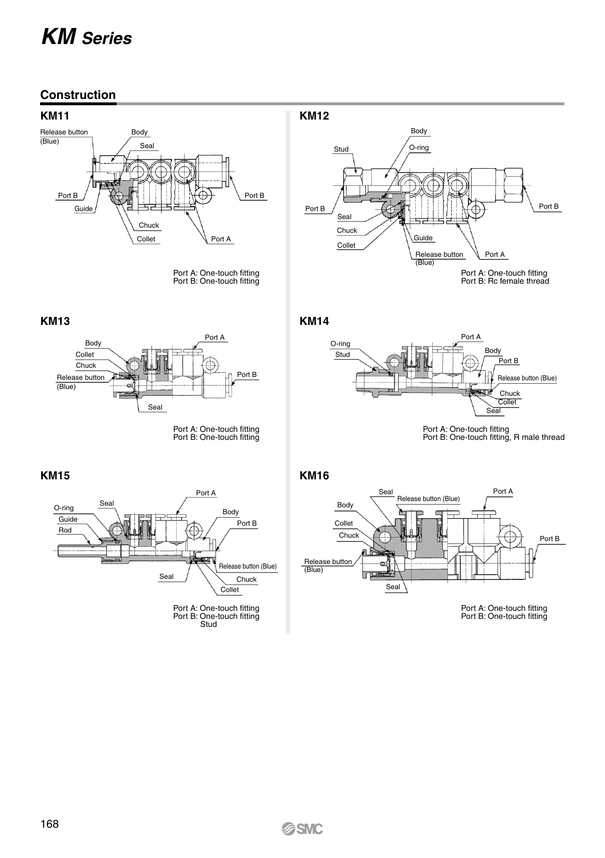## *KM Series*

### **Construction**

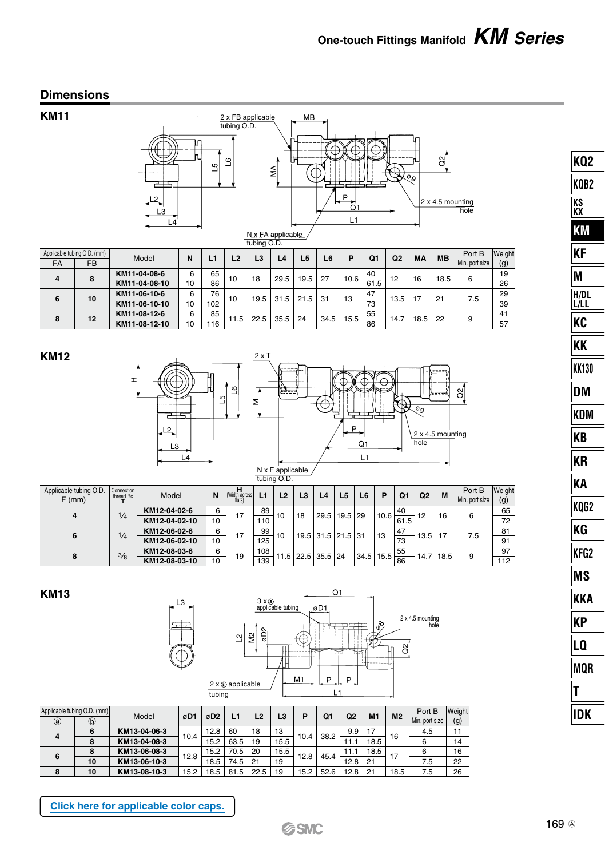### **Dimensions**

**KM11**



|                | Applicable tubing O.D. (mm) | Model         |    | L1  |                | L3   | L4   | L <sub>5</sub> | L6   | P    | Q1   | Q <sub>2</sub> | <b>MA</b> | <b>MB</b> | Port B         | Weight |
|----------------|-----------------------------|---------------|----|-----|----------------|------|------|----------------|------|------|------|----------------|-----------|-----------|----------------|--------|
| FA             | FB                          |               | N  |     | L <sub>2</sub> |      |      |                |      |      |      |                |           |           | Min. port size | (g)    |
| $\overline{4}$ | 8                           | KM11-04-08-6  | 6  | 65  | 10             | 18   | 29.5 | 19.5           | 27   | 10.6 | 40   | 12             | 16        | 18.5      | 6              | 19     |
|                |                             | KM11-04-08-10 | 10 | 86  |                |      |      |                |      |      | 61.5 |                |           |           |                | 26     |
| 6              | 10                          | KM11-06-10-6  | 6  | 76  | 10             | 19.5 | 31.5 | 21.5           | -31  | 13   | 47   | 13.5           |           | 21        | 7.5            | 29     |
|                |                             | KM11-06-10-10 | 10 | 102 |                |      |      |                |      |      | 73   |                |           |           |                | 39     |
| 8              | 12                          | KM11-08-12-6  | 6  | 85  | 11.5           | 22.5 | 35.5 | 24             | 34.5 | 15.5 | 55   | 14.7           | 18.5      | 22        | 9              | 41     |
|                |                             | KM11-08-12-10 | 10 | 116 |                |      |      |                |      |      | 86   |                |           |           |                | 57     |

### **KM12**





| Applicable tubing O.D.<br>$F$ (mm) | Connection<br>thread Rc | Model         | N  | (Width across)<br>flatsi | L1  | L <sub>2</sub> | L3 | L <sub>4</sub>    | L <sub>5</sub> | L <sub>6</sub> | P    | <b>O1</b> | Q <sub>2</sub>    | M    | Port B<br>Min. port size | Weight<br>(g) |
|------------------------------------|-------------------------|---------------|----|--------------------------|-----|----------------|----|-------------------|----------------|----------------|------|-----------|-------------------|------|--------------------------|---------------|
|                                    | $\frac{1}{4}$           | KM12-04-02-6  | 6  | 17                       | 89  | 10             | 18 | 29.5              | 19.5 29        |                | 10.6 | 40        | 12                | 16   | 6                        | 65            |
|                                    |                         | KM12-04-02-10 | 10 |                          | 110 |                |    |                   |                |                |      | 61.5      |                   |      |                          | 72            |
|                                    | $\frac{1}{4}$           | KM12-06-02-6  | 6  | 17                       | 99  | 10             |    | 19.5 31.5 21.5 31 |                |                | 13   | 47        | 13.5 <sub>1</sub> | 17   | 7.5                      | 81            |
|                                    |                         | KM12-06-02-10 | 10 |                          | 125 |                |    |                   |                |                |      | 73        |                   |      |                          | 91            |
|                                    | 3/8                     | KM12-08-03-6  | 6  | 19                       | 108 | 11.5           |    | 22.5 35.5 24      |                | 34.5           | 15.5 | 55        | 14.7              | 18.5 | 9                        | 97            |
|                                    |                         | KM12-08-03-10 | 10 |                          | 139 |                |    |                   |                |                |      | 86        |                   |      |                          | 112           |

**KM13**



| Applicable tubing O.D. (mm) |    | Model        | @D1  | @D2  | L1   | L <sub>2</sub> |                | P    | Q1   | Q <sub>2</sub> | M <sub>1</sub> | M <sub>2</sub> | Port B         | <b>Weight</b> |
|-----------------------------|----|--------------|------|------|------|----------------|----------------|------|------|----------------|----------------|----------------|----------------|---------------|
| ⊚                           | d  |              |      |      |      |                | L <sub>3</sub> |      |      |                |                |                | Min. port size | (g)           |
|                             |    | KM13-04-06-3 | 10.4 | 12.8 | 60   | 18             | 13             | 10.4 | 38.2 | 9.9            | 17             | 16             | 4.5            |               |
|                             |    | KM13-04-08-3 |      | 15.2 | 63.5 | 19             | 15.5           |      |      | 11.            | 18.5           |                |                | 14            |
|                             |    | KM13-06-08-3 | 12.8 | 15.2 | 70.5 | 20             | 15.5           | 12.8 |      | 11.1           | 18.5           | 17             |                | 16            |
|                             | 10 | KM13-06-10-3 |      | 18.5 | 74.5 | 21             | 19             |      | 45.4 | 12.8           | 21             |                | 7.5            | 22            |
|                             | 10 | KM13-08-10-3 | 15.2 | 18.5 | 81.5 | 22.5           | 19             | 15.2 | 52.6 | 12.8           | 21             | 18.5           | 7.5            | 26            |

**[Click here for applicable color caps.](https://www.smcworld.com/catalog/New-products-en/pdf/es50-37-kq2-ColorCap.pdf)**

| KQB2                                                                                                                                                                                                                                                                                                                                                                                                                  |
|-----------------------------------------------------------------------------------------------------------------------------------------------------------------------------------------------------------------------------------------------------------------------------------------------------------------------------------------------------------------------------------------------------------------------|
| ks<br>KX                                                                                                                                                                                                                                                                                                                                                                                                              |
| kx<br>KM                                                                                                                                                                                                                                                                                                                                                                                                              |
| KF                                                                                                                                                                                                                                                                                                                                                                                                                    |
| M                                                                                                                                                                                                                                                                                                                                                                                                                     |
| 111<br>H/DL<br>L/LL                                                                                                                                                                                                                                                                                                                                                                                                   |
| KC<br>$\overline{a}$                                                                                                                                                                                                                                                                                                                                                                                                  |
| KK                                                                                                                                                                                                                                                                                                                                                                                                                    |
|                                                                                                                                                                                                                                                                                                                                                                                                                       |
| $\overline{\mathsf{DM}}$                                                                                                                                                                                                                                                                                                                                                                                              |
| $\frac{KDM}{2}$                                                                                                                                                                                                                                                                                                                                                                                                       |
| $\frac{1}{\mathsf{KB}}$<br>$\equiv$                                                                                                                                                                                                                                                                                                                                                                                   |
| $\frac{KR}{4}$<br>$\overline{a}$                                                                                                                                                                                                                                                                                                                                                                                      |
| $\frac{1}{\frac{1}{1-\frac{1}{1-\frac{1}{1-\frac{1}{1-\frac{1}{1-\frac{1}{1-\frac{1}{1-\frac{1}{1-\frac{1}{1-\frac{1}{1-\frac{1}{1-\frac{1}{1-\frac{1}{1-\frac{1}{1-\frac{1}{1-\frac{1}{1-\frac{1}{1-\frac{1}{1-\frac{1}{1-\frac{1}{1-\frac{1}{1-\frac{1}{1-\frac{1}{1-\frac{1}{1-\frac{1}{1-\frac{1}{1-\frac{1}{1-\frac{1}{1-\frac{1}{1-\frac{1}{1-\frac{1}{1-\frac{1}{1-\frac{1}{1-\frac{1}{1-\frac{1}{1-\frac{1}{$ |
|                                                                                                                                                                                                                                                                                                                                                                                                                       |
|                                                                                                                                                                                                                                                                                                                                                                                                                       |
| KQG2<br>KG                                                                                                                                                                                                                                                                                                                                                                                                            |
|                                                                                                                                                                                                                                                                                                                                                                                                                       |
|                                                                                                                                                                                                                                                                                                                                                                                                                       |
| $\frac{1}{MS}$                                                                                                                                                                                                                                                                                                                                                                                                        |
| <b>KKA</b>                                                                                                                                                                                                                                                                                                                                                                                                            |
| KP                                                                                                                                                                                                                                                                                                                                                                                                                    |
| $\frac{10}{10}$<br>==<br>MQR_                                                                                                                                                                                                                                                                                                                                                                                         |
| T<br>$\overline{a}$                                                                                                                                                                                                                                                                                                                                                                                                   |
| IDK<br>l,                                                                                                                                                                                                                                                                                                                                                                                                             |

**KQ2**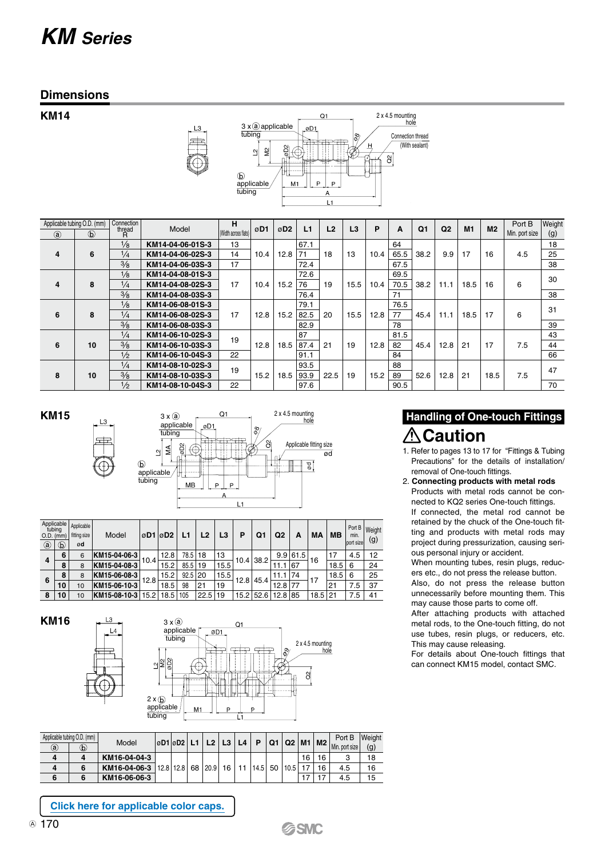### *KM Series*

### **Dimensions**

**KM14**



| $\circled{a}$ | Applicable tubing O.D. (mm)<br>$\circled{b}$ | Connection<br>thread<br>R | Model            | н<br>(Width across flats) | øD1  | @D2  | L1   | L <sub>2</sub> | L <sub>3</sub> | P    | A    | Q1   | Q <sub>2</sub> | M <sub>1</sub> | M <sub>2</sub> | Port B<br>Min. port size | Weight<br>(g) |
|---------------|----------------------------------------------|---------------------------|------------------|---------------------------|------|------|------|----------------|----------------|------|------|------|----------------|----------------|----------------|--------------------------|---------------|
|               |                                              | 1/8                       | KM14-04-06-01S-3 | 13                        |      |      | 67.1 |                |                |      | 64   |      |                |                |                |                          | 18            |
| 4             | 6                                            | 1/4                       | KM14-04-06-02S-3 | 14                        | 10.4 | 12.8 | 71   | 18             | 13             | 10.4 | 65.5 | 38.2 | 9.9            | 17             | 16             | 4.5                      | 25            |
|               |                                              | 3/8                       | KM14-04-06-03S-3 | 17                        |      |      | 72.4 |                |                |      | 67.5 |      |                |                |                |                          | 38            |
|               |                                              | $\frac{1}{8}$             | KM14-04-08-01S-3 |                           |      |      | 72.6 |                |                |      | 69.5 |      |                |                |                |                          | 30            |
| 4             | 8                                            | 1/4                       | KM14-04-08-02S-3 | 17                        | 10.4 | 15.2 | 76   | 19             | 15.5           | 10.4 | 70.5 | 38.2 | 11.1           | 18.5           | 16             | 6                        |               |
|               |                                              | 3/8                       | KM14-04-08-03S-3 |                           |      |      | 76.4 |                |                |      | 71   |      |                |                |                |                          | 38            |
|               |                                              | $\frac{1}{8}$             | KM14-06-08-01S-3 |                           |      |      | 79.1 |                |                |      | 76.5 |      |                |                |                |                          | 31            |
| 6             | 8                                            | 1/4                       | KM14-06-08-02S-3 | 17                        | 12.8 | 15.2 | 82.5 | 20             | 15.5           | 12.8 | 77   | 45.4 | 11.1           | 18.5           | 17             | 6                        |               |
|               |                                              | 3/8                       | KM14-06-08-03S-3 |                           |      |      | 82.9 |                |                |      | 78   |      |                |                |                |                          | 39            |
|               |                                              | 1/4                       | KM14-06-10-02S-3 | 19                        |      |      | 87   |                |                |      | 81.5 |      |                |                |                |                          | 43            |
| 6             | 10                                           | 3/8                       | KM14-06-10-03S-3 |                           | 12.8 | 18.5 | 87.4 | 21             | 19             | 12.8 | 82   | 45.4 | 12.8           | 21             | 17             | 7.5                      | 44            |
|               |                                              | 1/2                       | KM14-06-10-04S-3 | 22                        |      |      | 91.1 |                |                |      | 84   |      |                |                |                |                          | 66            |
|               |                                              | 1/4                       | KM14-08-10-02S-3 | 19                        |      |      | 93.5 |                |                |      | 88   |      |                |                |                |                          | 47            |
| 8             | 10                                           | 3/8                       | KM14-08-10-03S-3 |                           | 15.2 | 18.5 | 93.9 | 22.5           | 19             | 15.2 | 89   | 52.6 | 12.8           | 21             | 18.5           | 7.5                      |               |
|               |                                              | 1/2                       | KM14-08-10-04S-3 | 22                        |      |      | 97.6 |                |                |      | 90.5 |      |                |                |                |                          | 70            |

**KM15**





| $O.D.$ ( $mm$ )<br>$\circledcirc$ | Applicable<br>tubina<br>Б | Applicable<br>fitting size<br>ød | Model        | $ØD1$ $ØD2$ |      | L1   | L <sub>2</sub> | L3   | P    | Q1          | Q <sub>2</sub> | A         | MA   | <b>MB</b> | Port B<br>min.<br>port size | Weight<br>(g) |
|-----------------------------------|---------------------------|----------------------------------|--------------|-------------|------|------|----------------|------|------|-------------|----------------|-----------|------|-----------|-----------------------------|---------------|
|                                   | 6                         | 6                                | KM15-04-06-3 |             | 12.8 | 78.5 | 18             | 13   |      |             |                | 9.9 61.5  |      | 17        | 4.5                         | 12            |
| 4                                 | 8                         | 8                                | KM15-04-08-3 | 10.4.       | 15.2 | 85.5 | 19             | 15.5 |      | $10.4$ 38.2 | 11.1           | 67        | 16   | 18.5      | 6                           | 24            |
| 6                                 | 8                         | 8                                | KM15-06-08-3 | 12.8        | 15.2 | 92.5 | 20             | 15.5 | 12.8 | 45.4        | 11.1           | <b>74</b> | 17   | 18.5      | 6                           | 25            |
|                                   | 10                        | 10                               | KM15-06-10-3 |             | 18.5 | 98   | 21             | 19   |      |             | 12.8           | 177       |      | 21        | 7.5                         | 37            |
| 8                                 | 10                        | 10                               | KM15-08-10-3 | 15.2        | 18.5 | 105  | 22.5           | 19   | 15.2 | 52.6        | 12.8 85        |           | 18.5 | 21        | 7.5                         | 41            |

**KM16**





|   | Applicable tubing O.D. (mm) | Model        | $\log D1$ $\log D2$ L1 L2 L3 L3 |         |                 | L <sub>4</sub> |                |  |    |    | Port B                                               | <b>Weight</b> |
|---|-----------------------------|--------------|---------------------------------|---------|-----------------|----------------|----------------|--|----|----|------------------------------------------------------|---------------|
| a | $^\circ$                    |              |                                 |         |                 |                |                |  |    |    | $-$   Q1   Q2   M1   M2   $_{\text{Min. port size}}$ | (g)           |
|   |                             | KM16-04-04-3 |                                 |         |                 |                |                |  | 16 | 16 |                                                      | 18            |
|   |                             | KM16-04-06-3 | $12.8$ 12.8                     | 68 20.9 | 16 <sup>1</sup> | 11             | $14.5$ 50 10.5 |  | 17 | 16 | 4.5                                                  | 16            |
|   |                             | KM16-06-06-3 |                                 |         |                 |                |                |  |    |    | 4.5                                                  | 15            |

**[Click here for applicable color caps.](https://www.smcworld.com/catalog/New-products-en/pdf/es50-37-kq2-ColorCap.pdf)**

### **Caution Handling of One-touch Fittings**

- 1. Refer to pages 13 to 17 for "Fittings & Tubing Precautions" for the details of installation/ removal of One-touch fittings.
- 2. **Connecting products with metal rods** Products with metal rods cannot be connected to KQ2 series One-touch fittings. If connected, the metal rod cannot be retained by the chuck of the One-touch fitting and products with metal rods may project during pressurization, causing serious personal injury or accident.

When mounting tubes, resin plugs, reducers etc., do not press the release button. Also, do not press the release button unnecessarily before mounting them. This may cause those parts to come off.

After attaching products with attached metal rods, to the One-touch fitting, do not use tubes, resin plugs, or reducers, etc. This may cause releasing.

For details about One-touch fittings that can connect KM15 model, contact SMC.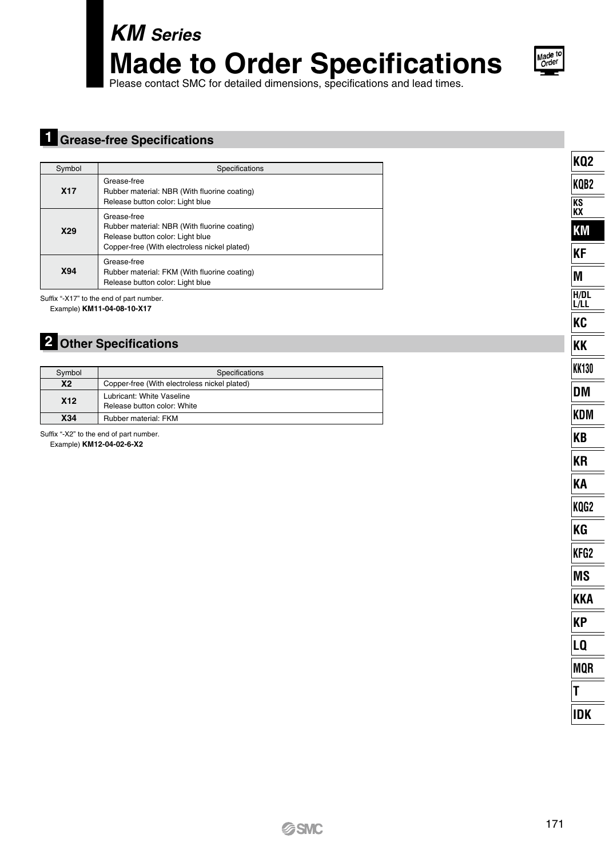*KM Series* **Made to Order Specifications** Please contact SMC for detailed dimensions, specifications and lead times.



### **1 Grease-free Specifications**

| Symbol     | Specifications                                                                                                                                  |
|------------|-------------------------------------------------------------------------------------------------------------------------------------------------|
| <b>X17</b> | Grease-free<br>Rubber material: NBR (With fluorine coating)<br>Release button color: Light blue                                                 |
| X29        | Grease-free<br>Rubber material: NBR (With fluorine coating)<br>Release button color: Light blue<br>Copper-free (With electroless nickel plated) |
| X94        | Grease-free<br>Rubber material: FKM (With fluorine coating)<br>Release button color: Light blue                                                 |

Suffix "-X17" to the end of part number.

Example) **KM11-04-08-10-X17**

### **2 Other Specifications**

| Symbol     | Specifications                                           |
|------------|----------------------------------------------------------|
| <b>X2</b>  | Copper-free (With electroless nickel plated)             |
| <b>X12</b> | Lubricant: White Vaseline<br>Release button color: White |
| X34        | Rubber material: FKM                                     |

Suffix "-X2" to the end of part number.

Example) **KM12-04-02-6-X2**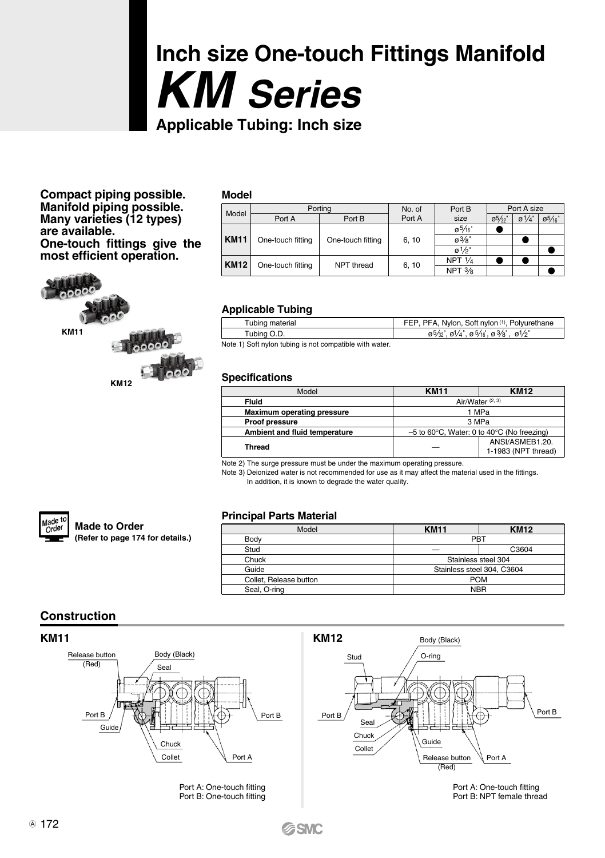# **Applicable Tubing: Inch size** *KM Series* **Inch size One-touch Fittings Manifold**

**Compact piping possible. Model Manifold piping possible. Many varieties (12 types) are available. One-touch fittings give the most efficient operation.**



**Made to Order (Refer to page 174 for details.)**

| Model       |                   | Portina           | No. of | Port B              | Port A size |                   |            |  |  |  |
|-------------|-------------------|-------------------|--------|---------------------|-------------|-------------------|------------|--|--|--|
|             | Port B<br>Port A  |                   | Port A | size                | $0^{5/3}$   | $\frac{9^{1}}{4}$ | $0^{5/16}$ |  |  |  |
|             |                   |                   |        | $9^{5/16}$          |             |                   |            |  |  |  |
| <b>KM11</b> | One-touch fitting | One-touch fitting | 6.10   | $\sigma^3/s$        |             |                   |            |  |  |  |
|             |                   |                   |        | $\varnothing$ 1/2"  |             |                   |            |  |  |  |
| <b>KM12</b> | One-touch fitting | NPT thread        | 6, 10  | NPT $1/4$           |             |                   |            |  |  |  |
|             |                   |                   |        | $NPT$ $\frac{3}{8}$ |             |                   |            |  |  |  |

### **Applicable Tubing**

| Tubing material                                                                 | FEP, PFA, Nylon, Soft nylon <sup>(1)</sup> , Polyurethane |
|---------------------------------------------------------------------------------|-----------------------------------------------------------|
| Tubing O.D.                                                                     | $0.5/32$ , $0^{1}/4$ , $0.5/16$ , $0.3/8$ , $0.1/2$       |
| taka 143. Olafik secilaran kecilatan dan sampungan bertakal secilik kecilatan d |                                                           |

bing is not compatible with water.

### **Specifications**

| Model                             | <b>KM11</b>                                                      | <b>KM12</b>                            |  |  |  |  |
|-----------------------------------|------------------------------------------------------------------|----------------------------------------|--|--|--|--|
| <b>Fluid</b>                      | Air/Water <sup>(2, 3)</sup>                                      |                                        |  |  |  |  |
| <b>Maximum operating pressure</b> | 1 MPa                                                            |                                        |  |  |  |  |
| Proof pressure                    | 3 MPa                                                            |                                        |  |  |  |  |
| Ambient and fluid temperature     | $-5$ to 60 $\degree$ C, Water: 0 to 40 $\degree$ C (No freezing) |                                        |  |  |  |  |
| <b>Thread</b>                     |                                                                  | ANSI/ASMEB1.20.<br>1-1983 (NPT thread) |  |  |  |  |

Note 2) The surge pressure must be under the maximum operating pressure.

Note 3) Deionized water is not recommended for use as it may affect the material used in the fittings. In addition, it is known to degrade the water quality.



#### **Principal Parts Material**

| Model                  | <b>KM11</b>                | <b>KM12</b> |  |  |  |  |
|------------------------|----------------------------|-------------|--|--|--|--|
| Body                   | PBT                        |             |  |  |  |  |
| Stud                   |                            | C3604       |  |  |  |  |
| Chuck                  | Stainless steel 304        |             |  |  |  |  |
| Guide                  | Stainless steel 304, C3604 |             |  |  |  |  |
| Collet, Release button | <b>POM</b>                 |             |  |  |  |  |
| Seal, O-ring           | <b>NBR</b>                 |             |  |  |  |  |

### **Construction**





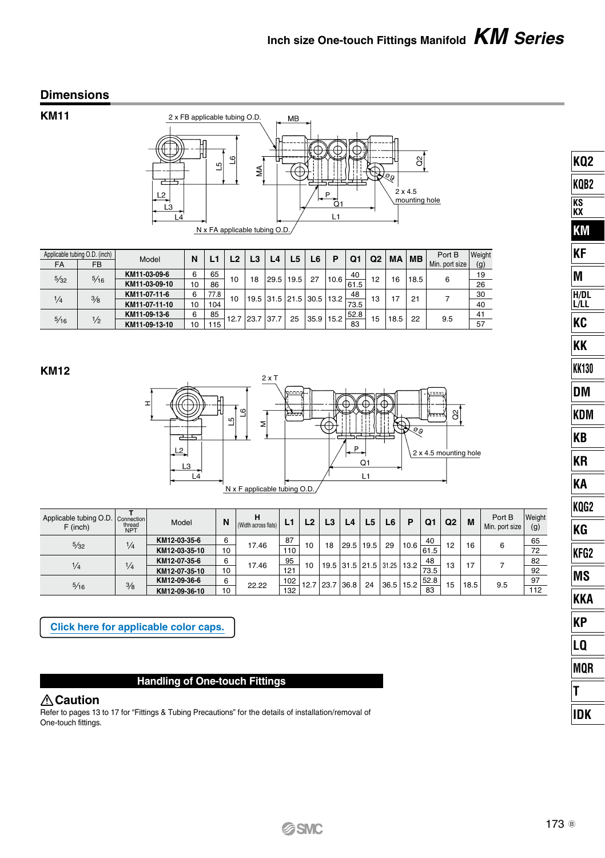### **Dimensions**

**KM11**



|      | Applicable tubing O.D. (inch) | Model         | N  |      | L <sub>2</sub> | L3    | L4    | L5                  | L6   | Р    | Q1   | Q2 | <b>MA</b> | <b>MB</b> | Port B         | <b>Weight</b> |
|------|-------------------------------|---------------|----|------|----------------|-------|-------|---------------------|------|------|------|----|-----------|-----------|----------------|---------------|
| FA   | <b>FB</b>                     |               |    |      |                |       |       |                     |      |      |      |    |           |           | Min. port size | (g)           |
| 5/32 | 5/16                          | KM11-03-09-6  | 6  | 65   | 10             | 18    | 29.5  | 19.5                | 27   | 10.6 | 40   | 12 | 16        | 18.5      |                | 19            |
|      |                               | KM11-03-09-10 | 10 | 86   |                |       |       |                     |      |      | 61.5 |    |           |           |                | 26            |
| 1/4  | 3/8                           | KM11-07-11-6  | 6  | 77.8 | 10             |       |       | 19.5 31.5 21.5 30.5 |      | 13.2 | 48   | 13 |           | 21        |                | 30            |
|      |                               | KM11-07-11-10 | 10 | 104  |                |       |       |                     |      |      | 73.5 |    |           |           |                | 40            |
|      | 1/2                           | KM11-09-13-6  | 6  | 85   | 12.7           | 123.7 | 137.7 | 25                  | 35.9 | 15.2 | 52.8 | 15 | 18.5      | 22        | 9.5            | 41            |
| 5/16 |                               | KM11-09-13-10 | 10 | 115  |                |       |       |                     |      |      | 83   |    |           |           |                | 57            |

### **KM12**



| Applicable tubing O.D. Connection<br>F (inch) | thread<br><b>NPT</b> | Model         | $\mathbf N$ | н<br>Width across flats) |     | L2   | L3   | L4             | L <sub>5</sub> | L <sub>6</sub> | Р    | Q1   | Q <sub>2</sub> | M    | Port B<br>Min. port size | <b>Weight</b><br>(g) |
|-----------------------------------------------|----------------------|---------------|-------------|--------------------------|-----|------|------|----------------|----------------|----------------|------|------|----------------|------|--------------------------|----------------------|
| 5/32                                          | $\frac{1}{4}$        | KM12-03-35-6  | 6           | 17.46                    | 87  | 10   | 18   | 29.5           | 19.5           | 29             | 10.6 | 40   | 12             | 16   |                          | 65                   |
|                                               |                      | KM12-03-35-10 | 10          |                          | 110 |      |      |                |                |                |      | 61.5 |                |      | 6                        | 72                   |
| $\frac{1}{4}$                                 | $\frac{1}{4}$        | KM12-07-35-6  | 6           | 17.46                    | 95  | 10   |      | 19.5 31.5 21.5 |                | 31.25          | 13.2 | 48   | 13             | 17   |                          | 82                   |
|                                               |                      | KM12-07-35-10 | 10          |                          | 121 |      |      |                |                |                |      | 73.5 |                |      |                          | 92                   |
| 5/16                                          | 3/8                  | KM12-09-36-6  | 6           | 22.22                    | 102 | 12.7 | 23.7 | 36.8           | 24             | 36.5           | 15.2 | 52.8 | 15             | 18.5 | 9.5                      | 97                   |
|                                               |                      | KM12-09-36-10 | 10          |                          | 132 |      |      |                |                |                |      | 83   |                |      |                          | 112                  |

**[Click here for applicable color caps.](https://www.smcworld.com/catalog/New-products-en/pdf/es50-37-kq2-ColorCap.pdf)**

### **Handling of One-touch Fittings**

### **△Caution**

Refer to pages 13 to 17 for "Fittings & Tubing Precautions" for the details of installation/removal of One-touch fittings.

| KQ2                                                                                            |
|------------------------------------------------------------------------------------------------|
| KQB2                                                                                           |
|                                                                                                |
| KM                                                                                             |
| КF                                                                                             |
| M                                                                                              |
| H/DL<br><u>L/LL</u>                                                                            |
|                                                                                                |
| $\frac{1}{\frac{1}{\frac{1}{\frac{1}{\frac{1}{\cdots}}}}}\frac{1}{\sqrt{1-\frac{1}{\cdots}}}}$ |
| <b>KK130</b>                                                                                   |
| $\frac{1}{\overline{DM}}$                                                                      |
| KDM<br>$\overline{a}$                                                                          |
| $\frac{1}{\mathsf{KB}}$<br>L                                                                   |
| $\frac{KR}{\sqrt{2}}$<br>$\overline{a}$                                                        |
| ΚA<br>$\overline{\phantom{0}}$                                                                 |
| <u>KQG2</u><br>$\overline{a}$                                                                  |
| KG<br>$\mathcal{L}$                                                                            |
|                                                                                                |
| $\overline{\text{MS}}$                                                                         |
| KKA<br>$\overline{a}$                                                                          |
| KP<br>$\overline{a}$                                                                           |
| _<br>LQ<br>__                                                                                  |
| MQR<br>$\equiv$                                                                                |
| T<br>$\equiv$                                                                                  |
| IDK                                                                                            |
|                                                                                                |